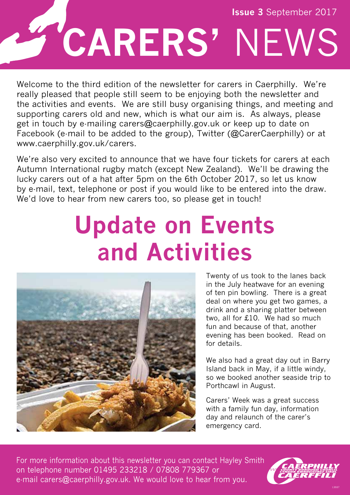

Welcome to the third edition of the newsletter for carers in Caerphilly. We're really pleased that people still seem to be enjoying both the newsletter and the activities and events. We are still busy organising things, and meeting and supporting carers old and new, which is what our aim is. As always, please get in touch by e-mailing carers@caerphilly.gov.uk or keep up to date on Facebook (e-mail to be added to the group), Twitter (@CarerCaerphilly) or at www.caerphilly.gov.uk/carers.

We're also very excited to announce that we have four tickets for carers at each Autumn International rugby match (except New Zealand). We'll be drawing the lucky carers out of a hat after 5pm on the 6th October 2017, so let us know by e-mail, text, telephone or post if you would like to be entered into the draw. We'd love to hear from new carers too, so please get in touch!

## **Update on Events and Activities**



Twenty of us took to the lanes back in the July heatwave for an evening of ten pin bowling. There is a great deal on where you get two games, a drink and a sharing platter between two, all for £10. We had so much fun and because of that, another evening has been booked. Read on for details.

We also had a great day out in Barry Island back in May, if a little windy, so we booked another seaside trip to Porthcawl in August.

Carers' Week was a great success with a family fun day, information day and relaunch of the carer's emergency card.

For more information about this newsletter you can contact Hayley Smith on telephone number 01495 233218 / 07808 779367 or e-mail carers@caerphilly.gov.uk. We would love to hear from you.

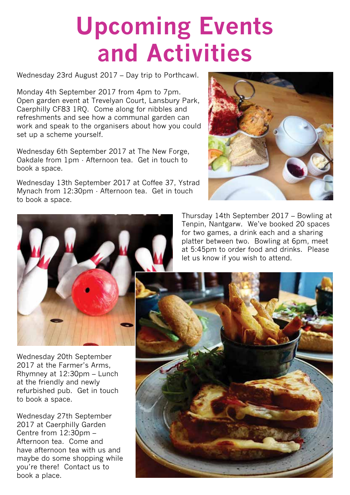## **Upcoming Events and Activities**

Wednesday 23rd August 2017 – Day trip to Porthcawl.

Monday 4th September 2017 from 4pm to 7pm. Open garden event at Trevelyan Court, Lansbury Park, Caerphilly CF83 1RQ. Come along for nibbles and refreshments and see how a communal garden can work and speak to the organisers about how you could set up a scheme yourself.

Wednesday 6th September 2017 at The New Forge, Oakdale from 1pm - Afternoon tea. Get in touch to book a space.

Wednesday 13th September 2017 at Coffee 37, Ystrad Mynach from 12:30pm - Afternoon tea. Get in touch to book a space.



Thursday 14th September 2017 – Bowling at Tenpin, Nantgarw. We've booked 20 spaces for two games, a drink each and a sharing platter between two. Bowling at 6pm, meet at 5:45pm to order food and drinks. Please let us know if you wish to attend.



Wednesday 20th September 2017 at the Farmer's Arms, Rhymney at 12:30pm – Lunch at the friendly and newly refurbished pub. Get in touch to book a space.

Wednesday 27th September 2017 at Caerphilly Garden Centre from 12:30pm – Afternoon tea. Come and have afternoon tea with us and maybe do some shopping while you're there! Contact us to book a place.

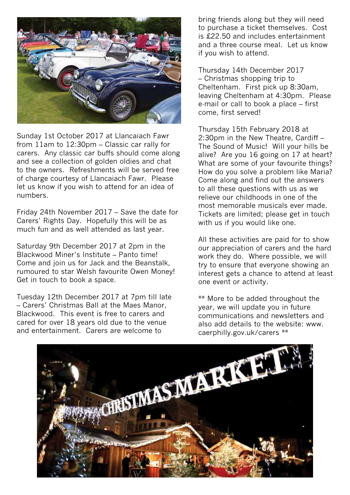

Sunday 1st October 2017 at Llancaiach Fawr from 11am to 12:30pm – Classic car rally for carers. Any classic car buffs should come along and see a collection of golden oldies and chat to the owners. Refreshments will be served free of charge courtesy of Llancaiach Fawr. Please let us know if you wish to attend for an idea of numbers.

Friday 24th November 2017 – Save the date for Carers' Rights Day. Hopefully this will be as much fun and as well attended as last year.

Saturday 9th December 2017 at 2pm in the Blackwood Miner's Institute – Panto time! Come and join us for Jack and the Beanstalk, rumoured to star Welsh favourite Owen Money! Get in touch to book a space.

Tuesday 12th December 2017 at 7pm till late – Carers' Christmas Ball at the Maes Manor, Blackwood. This event is free to carers and cared for over 18 years old due to the venue and entertainment. Carers are welcome to

bring friends along but they will need to purchase a ticket themselves. Cost is £22.50 and includes entertainment and a three course meal. Let us know if you wish to attend.

Thursday 14th December 2017 – Christmas shopping trip to Cheltenham. First pick up 8:30am, leaving Cheltenham at 4:30pm. Please e-mail or call to book a place – first come, first served!

Thursday 15th February 2018 at 2:30pm in the New Theatre, Cardiff – The Sound of Music! Will your hills be alive? Are you 16 going on 17 at heart? What are some of your favourite things? How do you solve a problem like Maria? Come along and find out the answers to all these questions with us as we relieve our childhoods in one of the most memorable musicals ever made. Tickets are limited; please get in touch with us if you would like one.

All these activities are paid for to show our appreciation of carers and the hard work they do. Where possible, we will try to ensure that everyone showing an interest gets a chance to attend at least one event or activity.

\*\* More to be added throughout the year, we will update you in future communications and newsletters and also add details to the website: www. caerphilly.gov.uk/carers \*\*

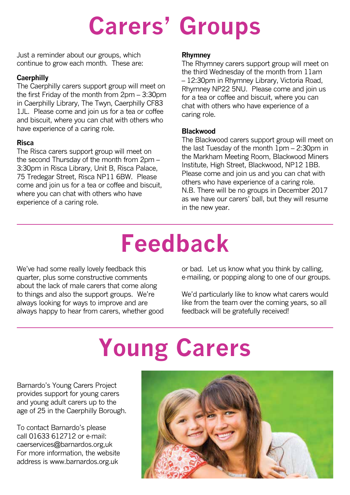## **Carers' Groups**

Just a reminder about our groups, which continue to grow each month. These are:

## **Caerphilly**

The Caerphilly carers support group will meet on the first Friday of the month from 2pm – 3:30pm in Caerphilly Library, The Twyn, Caerphilly CF83 1JL. Please come and join us for a tea or coffee and biscuit, where you can chat with others who have experience of a caring role.

### **Risca**

The Risca carers support group will meet on the second Thursday of the month from 2pm – 3:30pm in Risca Library, Unit B, Risca Palace, 75 Tredegar Street, Risca NP11 6BW. Please come and join us for a tea or coffee and biscuit, where you can chat with others who have experience of a caring role.

### **Rhymney**

The Rhymney carers support group will meet on the third Wednesday of the month from 11am – 12:30pm in Rhymney Library, Victoria Road, Rhymney NP22 5NU. Please come and join us for a tea or coffee and biscuit, where you can chat with others who have experience of a caring role.

### **Blackwood**

The Blackwood carers support group will meet on the last Tuesday of the month 1pm – 2:30pm in the Markham Meeting Room, Blackwood Miners Institute, High Street, Blackwood, NP12 1BB. Please come and join us and you can chat with others who have experience of a caring role. N.B. There will be no groups in December 2017 as we have our carers' ball, but they will resume in the new year.

## **Feedback**

We've had some really lovely feedback this quarter, plus some constructive comments about the lack of male carers that come along to things and also the support groups. We're always looking for ways to improve and are always happy to hear from carers, whether good or bad. Let us know what you think by calling, e-mailing, or popping along to one of our groups.

We'd particularly like to know what carers would like from the team over the coming years, so all feedback will be gratefully received!

# **Young Carers**

Barnardo's Young Carers Project provides support for young carers and young adult carers up to the age of 25 in the Caerphilly Borough.

To contact Barnardo's please call 01633 612712 or e-mail: caerservices@barnardos.org,uk For more information, the website address is www.barnardos.org.uk

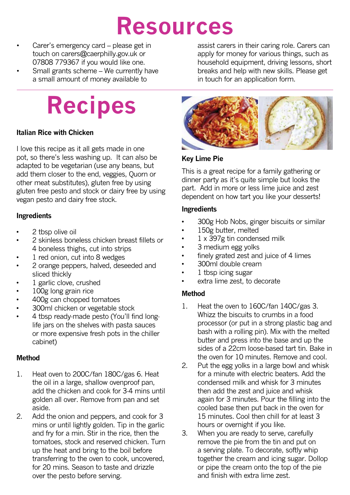## **Resources**

- Carer's emergency card please get in touch on carers@caerphilly.gov.uk or 07808 779367 if you would like one.
- Small grants scheme We currently have a small amount of money available to

## **Recipes**

### **Italian Rice with Chicken**

I love this recipe as it all gets made in one pot, so there's less washing up. It can also be adapted to be vegetarian (use any beans, but add them closer to the end, veggies, Quorn or other meat substitutes), gluten free by using gluten free pesto and stock or dairy free by using vegan pesto and dairy free stock.

### **Ingredients**

- 2 tbsp olive oil
- 2 skinless boneless chicken breast fillets or 4 boneless thighs, cut into strips
- 1 red onion, cut into 8 wedges
- 2 orange peppers, halved, deseeded and sliced thickly
- 1 garlic clove, crushed
- 100g long grain rice
- 400g can chopped tomatoes
- 300ml chicken or vegetable stock
- 4 tbsp ready-made pesto (You'll find longlife jars on the shelves with pasta sauces or more expensive fresh pots in the chiller cabinet)

#### **Method**

- 1. Heat oven to 200C/fan 180C/gas 6. Heat the oil in a large, shallow ovenproof pan, add the chicken and cook for 3-4 mins until golden all over. Remove from pan and set aside.
- 2. Add the onion and peppers, and cook for 3 mins or until lightly golden. Tip in the garlic and fry for a min. Stir in the rice, then the tomatoes, stock and reserved chicken. Turn up the heat and bring to the boil before transferring to the oven to cook, uncovered, for 20 mins. Season to taste and drizzle over the pesto before serving.

assist carers in their caring role. Carers can apply for money for various things, such as household equipment, driving lessons, short breaks and help with new skills. Please get in touch for an application form.



## **Key Lime Pie**

This is a great recipe for a family gathering or dinner party as it's quite simple but looks the part. Add in more or less lime juice and zest dependent on how tart you like your desserts!

### **Ingredients**

- 300g Hob Nobs, ginger biscuits or similar
- 150g butter, melted
- 1 x 397g tin condensed milk
- 3 medium egg yolks
- finely grated zest and juice of 4 limes
- 300ml double cream
- 1 tbsp icing sugar
- extra lime zest, to decorate

### **Method**

- 1. Heat the oven to 160C/fan 140C/gas 3. Whizz the biscuits to crumbs in a food processor (or put in a strong plastic bag and bash with a rolling pin). Mix with the melted butter and press into the base and up the sides of a 22cm loose-based tart tin. Bake in the oven for 10 minutes. Remove and cool.
- 2. Put the egg yolks in a large bowl and whisk for a minute with electric beaters. Add the condensed milk and whisk for 3 minutes then add the zest and juice and whisk again for 3 minutes. Pour the filling into the cooled base then put back in the oven for 15 minutes. Cool then chill for at least 3 hours or overnight if you like.
- 3. When you are ready to serve, carefully remove the pie from the tin and put on a serving plate. To decorate, softly whip together the cream and icing sugar. Dollop or pipe the cream onto the top of the pie and finish with extra lime zest.